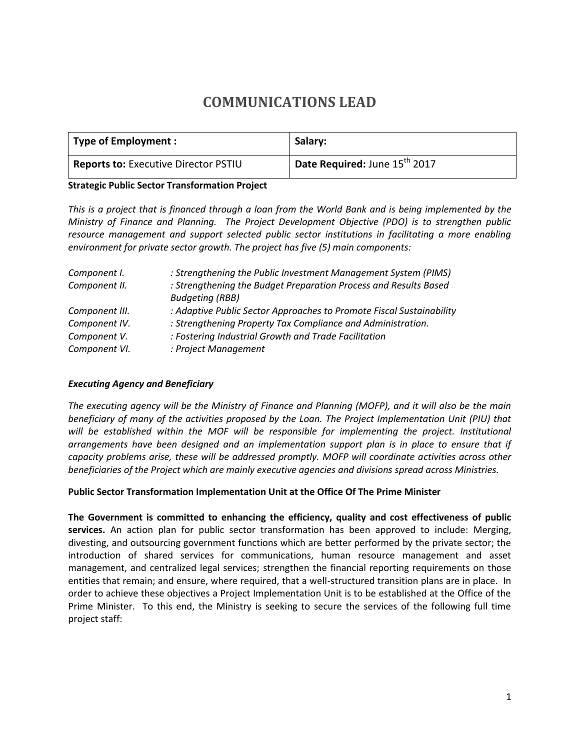# **COMMUNICATIONS LEAD**

| <b>Type of Employment:</b>                  | Salary:                                   |
|---------------------------------------------|-------------------------------------------|
| <b>Reports to: Executive Director PSTIU</b> | Date Required: June 15 <sup>th</sup> 2017 |

#### **Strategic Public Sector Transformation Project**

*This is a project that is financed through a loan from the World Bank and is being implemented by the Ministry of Finance and Planning. The Project Development Objective (PDO) is to strengthen public resource management and support selected public sector institutions in facilitating a more enabling environment for private sector growth. The project has five (5) main components:*

| Component I.   | : Strengthening the Public Investment Management System (PIMS)       |  |
|----------------|----------------------------------------------------------------------|--|
| Component II.  | : Strengthening the Budget Preparation Process and Results Based     |  |
|                | <b>Budgeting (RBB)</b>                                               |  |
| Component III. | : Adaptive Public Sector Approaches to Promote Fiscal Sustainability |  |
| Component IV.  | : Strengthening Property Tax Compliance and Administration.          |  |
| Component V.   | : Fostering Industrial Growth and Trade Facilitation                 |  |
| Component VI.  | : Project Management                                                 |  |

#### *Executing Agency and Beneficiary*

*The executing agency will be the Ministry of Finance and Planning (MOFP), and it will also be the main beneficiary of many of the activities proposed by the Loan. The Project Implementation Unit (PIU) that will be established within the MOF will be responsible for implementing the project. Institutional arrangements have been designed and an implementation support plan is in place to ensure that if capacity problems arise, these will be addressed promptly. MOFP will coordinate activities across other beneficiaries of the Project which are mainly executive agencies and divisions spread across Ministries.*

#### **Public Sector Transformation Implementation Unit at the Office Of The Prime Minister**

**The Government is committed to enhancing the efficiency, quality and cost effectiveness of public services.** An action plan for public sector transformation has been approved to include: Merging, divesting, and outsourcing government functions which are better performed by the private sector; the introduction of shared services for communications, human resource management and asset management, and centralized legal services; strengthen the financial reporting requirements on those entities that remain; and ensure, where required, that a well-structured transition plans are in place. In order to achieve these objectives a Project Implementation Unit is to be established at the Office of the Prime Minister. To this end, the Ministry is seeking to secure the services of the following full time project staff: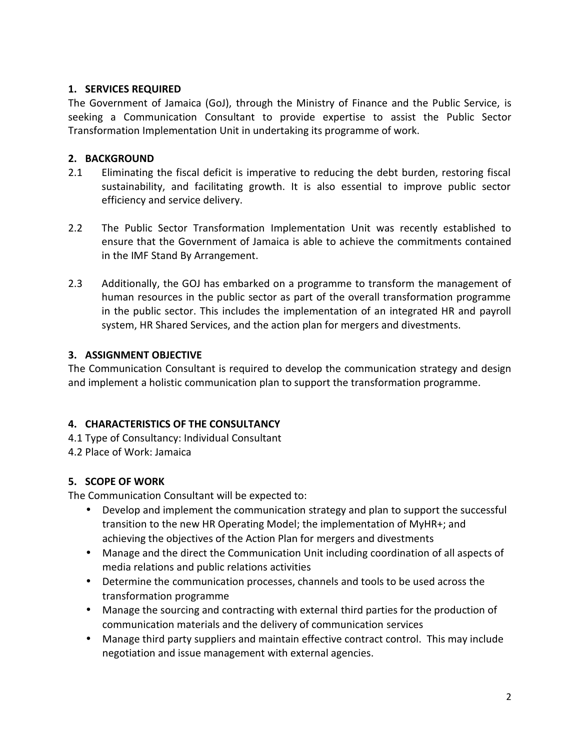## **1. SERVICES REQUIRED**

The Government of Jamaica (GoJ), through the Ministry of Finance and the Public Service, is seeking a Communication Consultant to provide expertise to assist the Public Sector Transformation Implementation Unit in undertaking its programme of work.

# **2. BACKGROUND**

- 2.1 Eliminating the fiscal deficit is imperative to reducing the debt burden, restoring fiscal sustainability, and facilitating growth. It is also essential to improve public sector efficiency and service delivery.
- 2.2 The Public Sector Transformation Implementation Unit was recently established to ensure that the Government of Jamaica is able to achieve the commitments contained in the IMF Stand By Arrangement.
- 2.3 Additionally, the GOJ has embarked on a programme to transform the management of human resources in the public sector as part of the overall transformation programme in the public sector. This includes the implementation of an integrated HR and payroll system, HR Shared Services, and the action plan for mergers and divestments.

# **3. ASSIGNMENT OBJECTIVE**

The Communication Consultant is required to develop the communication strategy and design and implement a holistic communication plan to support the transformation programme.

# **4. CHARACTERISTICS OF THE CONSULTANCY**

4.1 Type of Consultancy: Individual Consultant

4.2 Place of Work: Jamaica

# **5. SCOPE OF WORK**

The Communication Consultant will be expected to:

- Develop and implement the communication strategy and plan to support the successful transition to the new HR Operating Model; the implementation of MyHR+; and achieving the objectives of the Action Plan for mergers and divestments
- Manage and the direct the Communication Unit including coordination of all aspects of media relations and public relations activities
- Determine the communication processes, channels and tools to be used across the transformation programme
- Manage the sourcing and contracting with external third parties for the production of communication materials and the delivery of communication services
- Manage third party suppliers and maintain effective contract control. This may include negotiation and issue management with external agencies.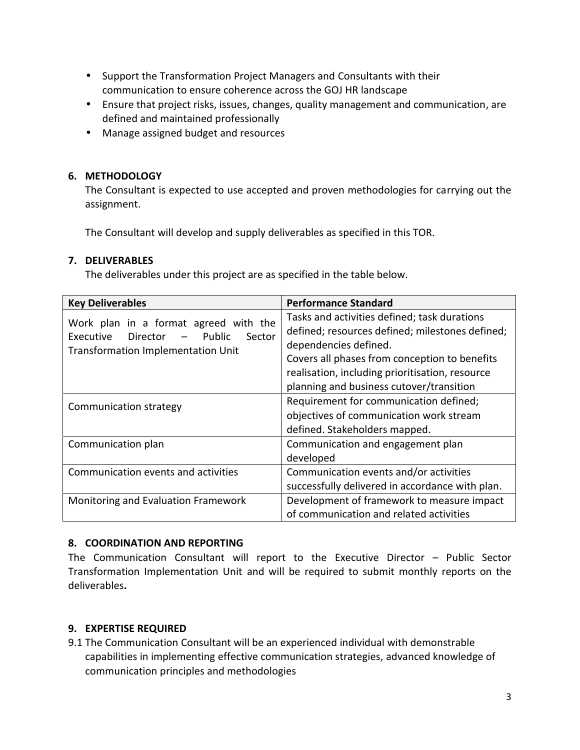- Support the Transformation Project Managers and Consultants with their communication to ensure coherence across the GOJ HR landscape
- Ensure that project risks, issues, changes, quality management and communication, are defined and maintained professionally
- Manage assigned budget and resources

## **6. METHODOLOGY**

The Consultant is expected to use accepted and proven methodologies for carrying out the assignment.

The Consultant will develop and supply deliverables as specified in this TOR.

# **7. DELIVERABLES**

The deliverables under this project are as specified in the table below.

| <b>Key Deliverables</b>                                                                                                           | <b>Performance Standard</b>                                                                                                                                                                                                                                              |
|-----------------------------------------------------------------------------------------------------------------------------------|--------------------------------------------------------------------------------------------------------------------------------------------------------------------------------------------------------------------------------------------------------------------------|
| Work plan in a format agreed with the<br>- Public<br>Director<br>Executive<br>Sector<br><b>Transformation Implementation Unit</b> | Tasks and activities defined; task durations<br>defined; resources defined; milestones defined;<br>dependencies defined.<br>Covers all phases from conception to benefits<br>realisation, including prioritisation, resource<br>planning and business cutover/transition |
| Communication strategy                                                                                                            | Requirement for communication defined;<br>objectives of communication work stream<br>defined. Stakeholders mapped.                                                                                                                                                       |
| Communication plan                                                                                                                | Communication and engagement plan<br>developed                                                                                                                                                                                                                           |
| Communication events and activities                                                                                               | Communication events and/or activities<br>successfully delivered in accordance with plan.                                                                                                                                                                                |
| Monitoring and Evaluation Framework                                                                                               | Development of framework to measure impact<br>of communication and related activities                                                                                                                                                                                    |

### **8. COORDINATION AND REPORTING**

The Communication Consultant will report to the Executive Director – Public Sector Transformation Implementation Unit and will be required to submit monthly reports on the deliverables**.**

# **9. EXPERTISE REQUIRED**

9.1 The Communication Consultant will be an experienced individual with demonstrable capabilities in implementing effective communication strategies, advanced knowledge of communication principles and methodologies